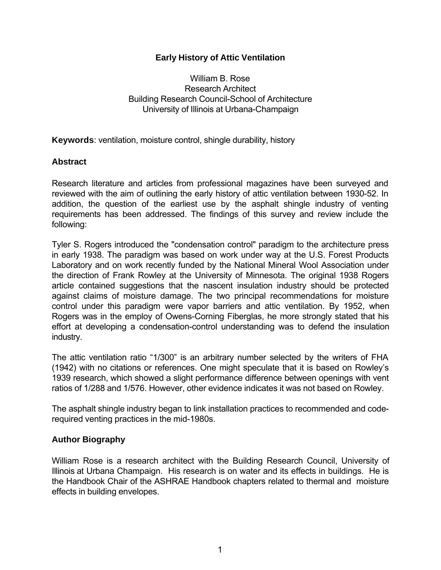### **Early History of Attic Ventilation**

William B. Rose Research Architect Building Research Council-School of Architecture University of Illinois at Urbana-Champaign

**Keywords**: ventilation, moisture control, shingle durability, history

#### **Abstract**

Research literature and articles from professional magazines have been surveyed and reviewed with the aim of outlining the early history of attic ventilation between 1930-52. In addition, the question of the earliest use by the asphalt shingle industry of venting requirements has been addressed. The findings of this survey and review include the following:

Tyler S. Rogers introduced the "condensation control" paradigm to the architecture press in early 1938. The paradigm was based on work under way at the U.S. Forest Products Laboratory and on work recently funded by the National Mineral Wool Association under the direction of Frank Rowley at the University of Minnesota. The original 1938 Rogers article contained suggestions that the nascent insulation industry should be protected against claims of moisture damage. The two principal recommendations for moisture control under this paradigm were vapor barriers and attic ventilation. By 1952, when Rogers was in the employ of Owens-Corning Fiberglas, he more strongly stated that his effort at developing a condensation-control understanding was to defend the insulation industry.

The attic ventilation ratio "1/300" is an arbitrary number selected by the writers of FHA (1942) with no citations or references. One might speculate that it is based on Rowley's 1939 research, which showed a slight performance difference between openings with vent ratios of 1/288 and 1/576. However, other evidence indicates it was not based on Rowley.

The asphalt shingle industry began to link installation practices to recommended and coderequired venting practices in the mid-1980s.

#### **Author Biography**

William Rose is a research architect with the Building Research Council, University of Illinois at Urbana Champaign. His research is on water and its effects in buildings. He is the Handbook Chair of the ASHRAE Handbook chapters related to thermal and moisture effects in building envelopes.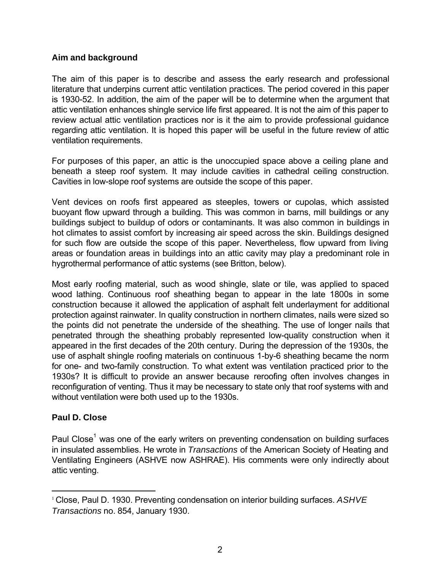### **Aim and background**

The aim of this paper is to describe and assess the early research and professional literature that underpins current attic ventilation practices. The period covered in this paper is 1930-52. In addition, the aim of the paper will be to determine when the argument that attic ventilation enhances shingle service life first appeared. It is not the aim of this paper to review actual attic ventilation practices nor is it the aim to provide professional guidance regarding attic ventilation. It is hoped this paper will be useful in the future review of attic ventilation requirements.

For purposes of this paper, an attic is the unoccupied space above a ceiling plane and beneath a steep roof system. It may include cavities in cathedral ceiling construction. Cavities in low-slope roof systems are outside the scope of this paper.

Vent devices on roofs first appeared as steeples, towers or cupolas, which assisted buoyant flow upward through a building. This was common in barns, mill buildings or any buildings subject to buildup of odors or contaminants. It was also common in buildings in hot climates to assist comfort by increasing air speed across the skin. Buildings designed for such flow are outside the scope of this paper. Nevertheless, flow upward from living areas or foundation areas in buildings into an attic cavity may play a predominant role in hygrothermal performance of attic systems (see Britton, below).

Most early roofing material, such as wood shingle, slate or tile, was applied to spaced wood lathing. Continuous roof sheathing began to appear in the late 1800s in some construction because it allowed the application of asphalt felt underlayment for additional protection against rainwater. In quality construction in northern climates, nails were sized so the points did not penetrate the underside of the sheathing. The use of longer nails that penetrated through the sheathing probably represented low-quality construction when it appeared in the first decades of the 20th century. During the depression of the 1930s, the use of asphalt shingle roofing materials on continuous 1-by-6 sheathing became the norm for one- and two-family construction. To what extent was ventilation practiced prior to the 1930s? It is difficult to provide an answer because reroofing often involves changes in reconfiguration of venting. Thus it may be necessary to state only that roof systems with and without ventilation were both used up to the 1930s.

# **Paul D. Close**

l

Paul Close<sup>1</sup> was one of the early writers on preventing condensation on building surfaces in insulated assemblies. He wrote in *Transactions* of the American Society of Heating and Ventilating Engineers (ASHVE now ASHRAE). His comments were only indirectly about attic venting.

<sup>1</sup> Close, Paul D. 1930. Preventing condensation on interior building surfaces. *ASHVE Transactions* no. 854, January 1930.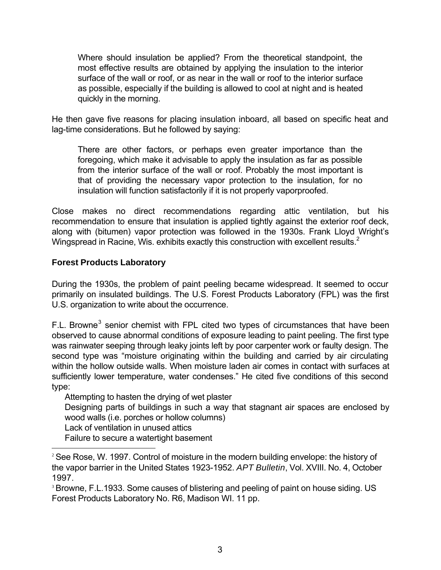Where should insulation be applied? From the theoretical standpoint, the most effective results are obtained by applying the insulation to the interior surface of the wall or roof, or as near in the wall or roof to the interior surface as possible, especially if the building is allowed to cool at night and is heated quickly in the morning.

He then gave five reasons for placing insulation inboard, all based on specific heat and lag-time considerations. But he followed by saying:

There are other factors, or perhaps even greater importance than the foregoing, which make it advisable to apply the insulation as far as possible from the interior surface of the wall or roof. Probably the most important is that of providing the necessary vapor protection to the insulation, for no insulation will function satisfactorily if it is not properly vaporproofed.

Close makes no direct recommendations regarding attic ventilation, but his recommendation to ensure that insulation is applied tightly against the exterior roof deck, along with (bitumen) vapor protection was followed in the 1930s. Frank Lloyd Wright's Wingspread in Racine, Wis. exhibits exactly this construction with excellent results.<sup>2</sup>

# **Forest Products Laboratory**

During the 1930s, the problem of paint peeling became widespread. It seemed to occur primarily on insulated buildings. The U.S. Forest Products Laboratory (FPL) was the first U.S. organization to write about the occurrence.

F.L. Browne<sup>3</sup> senior chemist with FPL cited two types of circumstances that have been observed to cause abnormal conditions of exposure leading to paint peeling. The first type was rainwater seeping through leaky joints left by poor carpenter work or faulty design. The second type was "moisture originating within the building and carried by air circulating within the hollow outside walls. When moisture laden air comes in contact with surfaces at sufficiently lower temperature, water condenses." He cited five conditions of this second type:

Attempting to hasten the drying of wet plaster Designing parts of buildings in such a way that stagnant air spaces are enclosed by wood walls (i.e. porches or hollow columns) Lack of ventilation in unused attics

Failure to secure a watertight basement

l

<sup>&</sup>lt;sup>2</sup> See Rose, W. 1997. Control of moisture in the modern building envelope: the history of the vapor barrier in the United States 1923-1952. *APT Bulletin*, Vol. XVIII. No. 4, October 1997.

<sup>&</sup>lt;sup>3</sup> Browne, F.L.1933. Some causes of blistering and peeling of paint on house siding. US Forest Products Laboratory No. R6, Madison WI. 11 pp.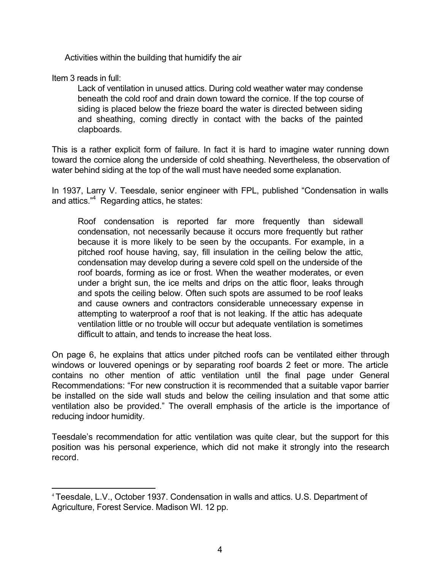Activities within the building that humidify the air

Item 3 reads in full:

l

Lack of ventilation in unused attics. During cold weather water may condense beneath the cold roof and drain down toward the cornice. If the top course of siding is placed below the frieze board the water is directed between siding and sheathing, coming directly in contact with the backs of the painted clapboards.

This is a rather explicit form of failure. In fact it is hard to imagine water running down toward the cornice along the underside of cold sheathing. Nevertheless, the observation of water behind siding at the top of the wall must have needed some explanation.

In 1937, Larry V. Teesdale, senior engineer with FPL, published "Condensation in walls and attics."<sup>4</sup> Regarding attics, he states:

Roof condensation is reported far more frequently than sidewall condensation, not necessarily because it occurs more frequently but rather because it is more likely to be seen by the occupants. For example, in a pitched roof house having, say, fill insulation in the ceiling below the attic, condensation may develop during a severe cold spell on the underside of the roof boards, forming as ice or frost. When the weather moderates, or even under a bright sun, the ice melts and drips on the attic floor, leaks through and spots the ceiling below. Often such spots are assumed to be roof leaks and cause owners and contractors considerable unnecessary expense in attempting to waterproof a roof that is not leaking. If the attic has adequate ventilation little or no trouble will occur but adequate ventilation is sometimes difficult to attain, and tends to increase the heat loss.

On page 6, he explains that attics under pitched roofs can be ventilated either through windows or louvered openings or by separating roof boards 2 feet or more. The article contains no other mention of attic ventilation until the final page under General Recommendations: "For new construction it is recommended that a suitable vapor barrier be installed on the side wall studs and below the ceiling insulation and that some attic ventilation also be provided." The overall emphasis of the article is the importance of reducing indoor humidity.

Teesdale's recommendation for attic ventilation was quite clear, but the support for this position was his personal experience, which did not make it strongly into the research record.

<sup>4</sup> Teesdale, L.V., October 1937. Condensation in walls and attics. U.S. Department of Agriculture, Forest Service. Madison WI. 12 pp.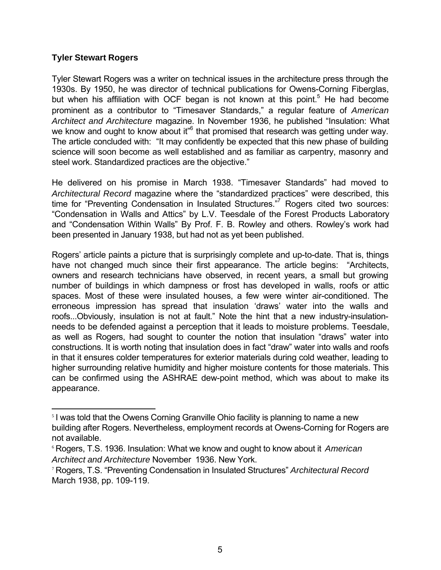#### **Tyler Stewart Rogers**

l

Tyler Stewart Rogers was a writer on technical issues in the architecture press through the 1930s. By 1950, he was director of technical publications for Owens-Corning Fiberglas, but when his affiliation with OCF began is not known at this point.<sup>5</sup> He had become prominent as a contributor to "Timesaver Standards," a regular feature of *American Architect and Architecture* magazine. In November 1936, he published "Insulation: What we know and ought to know about it"<sup>6</sup> that promised that research was getting under way. The article concluded with: "It may confidently be expected that this new phase of building science will soon become as well established and as familiar as carpentry, masonry and steel work. Standardized practices are the objective."

He delivered on his promise in March 1938. "Timesaver Standards" had moved to *Architectural Record* magazine where the "standardized practices" were described, this time for "Preventing Condensation in Insulated Structures."<sup>7</sup> Rogers cited two sources: "Condensation in Walls and Attics" by L.V. Teesdale of the Forest Products Laboratory and "Condensation Within Walls" By Prof. F. B. Rowley and others. Rowley's work had been presented in January 1938, but had not as yet been published.

Rogers' article paints a picture that is surprisingly complete and up-to-date. That is, things have not changed much since their first appearance. The article begins: "Architects, owners and research technicians have observed, in recent years, a small but growing number of buildings in which dampness or frost has developed in walls, roofs or attic spaces. Most of these were insulated houses, a few were winter air-conditioned. The erroneous impression has spread that insulation 'draws' water into the walls and roofs...Obviously, insulation is not at fault." Note the hint that a new industry-insulationneeds to be defended against a perception that it leads to moisture problems. Teesdale, as well as Rogers, had sought to counter the notion that insulation "draws" water into constructions. It is worth noting that insulation does in fact "draw" water into walls and roofs in that it ensures colder temperatures for exterior materials during cold weather, leading to higher surrounding relative humidity and higher moisture contents for those materials. This can be confirmed using the ASHRAE dew-point method, which was about to make its appearance.

<sup>&</sup>lt;sup>5</sup> I was told that the Owens Corning Granville Ohio facility is planning to name a new building after Rogers. Nevertheless, employment records at Owens-Corning for Rogers are not available.

<sup>6</sup> Rogers, T.S. 1936. Insulation: What we know and ought to know about it *American Architect and Architecture* November 1936. New York.

<sup>7</sup> Rogers, T.S. "Preventing Condensation in Insulated Structures" *Architectural Record* March 1938, pp. 109-119.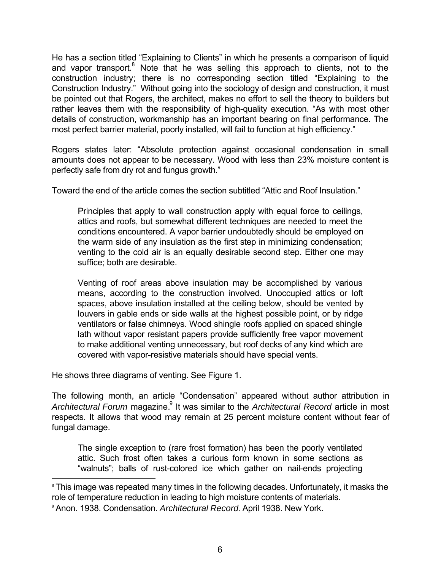He has a section titled "Explaining to Clients" in which he presents a comparison of liquid and vapor transport.<sup>8</sup> Note that he was selling this approach to clients, not to the construction industry; there is no corresponding section titled "Explaining to the Construction Industry." Without going into the sociology of design and construction, it must be pointed out that Rogers, the architect, makes no effort to sell the theory to builders but rather leaves them with the responsibility of high-quality execution. "As with most other details of construction, workmanship has an important bearing on final performance. The most perfect barrier material, poorly installed, will fail to function at high efficiency."

Rogers states later: "Absolute protection against occasional condensation in small amounts does not appear to be necessary. Wood with less than 23% moisture content is perfectly safe from dry rot and fungus growth."

Toward the end of the article comes the section subtitled "Attic and Roof Insulation."

Principles that apply to wall construction apply with equal force to ceilings, attics and roofs, but somewhat different techniques are needed to meet the conditions encountered. A vapor barrier undoubtedly should be employed on the warm side of any insulation as the first step in minimizing condensation; venting to the cold air is an equally desirable second step. Either one may suffice; both are desirable.

Venting of roof areas above insulation may be accomplished by various means, according to the construction involved. Unoccupied attics or loft spaces, above insulation installed at the ceiling below, should be vented by louvers in gable ends or side walls at the highest possible point, or by ridge ventilators or false chimneys. Wood shingle roofs applied on spaced shingle lath without vapor resistant papers provide sufficiently free vapor movement to make additional venting unnecessary, but roof decks of any kind which are covered with vapor-resistive materials should have special vents.

He shows three diagrams of venting. See Figure 1.

l

The following month, an article "Condensation" appeared without author attribution in Architectural Forum magazine.<sup>9</sup> It was similar to the Architectural Record article in most respects. It allows that wood may remain at 25 percent moisture content without fear of fungal damage.

The single exception to (rare frost formation) has been the poorly ventilated attic. Such frost often takes a curious form known in some sections as "walnuts"; balls of rust-colored ice which gather on nail-ends projecting

<sup>&</sup>lt;sup>8</sup> This image was repeated many times in the following decades. Unfortunately, it masks the role of temperature reduction in leading to high moisture contents of materials.

<sup>9</sup> Anon. 1938. Condensation. *Architectural Record.* April 1938. New York.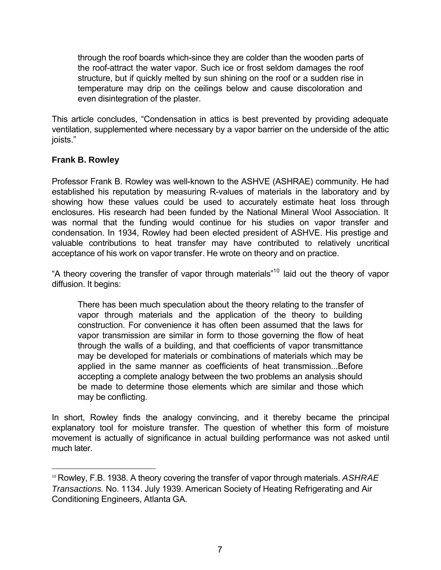through the roof boards which-since they are colder than the wooden parts of the roof-attract the water vapor. Such ice or frost seldom damages the roof structure, but if quickly melted by sun shining on the roof or a sudden rise in temperature may drip on the ceilings below and cause discoloration and even disintegration of the plaster.

This article concludes, "Condensation in attics is best prevented by providing adequate ventilation, supplemented where necessary by a vapor barrier on the underside of the attic joists."

# **Frank B. Rowley**

l

Professor Frank B. Rowley was well-known to the ASHVE (ASHRAE) community. He had established his reputation by measuring R-values of materials in the laboratory and by showing how these values could be used to accurately estimate heat loss through enclosures. His research had been funded by the National Mineral Wool Association. It was normal that the funding would continue for his studies on vapor transfer and condensation. In 1934, Rowley had been elected president of ASHVE. His prestige and valuable contributions to heat transfer may have contributed to relatively uncritical acceptance of his work on vapor transfer. He wrote on theory and on practice.

"A theory covering the transfer of vapor through materials"<sup>10</sup> laid out the theory of vapor diffusion. It begins:

There has been much speculation about the theory relating to the transfer of vapor through materials and the application of the theory to building construction. For convenience it has often been assumed that the laws for vapor transmission are similar in form to those governing the flow of heat through the walls of a building, and that coefficients of vapor transmittance may be developed for materials or combinations of materials which may be applied in the same manner as coefficients of heat transmission...Before accepting a complete analogy between the two problems an analysis should be made to determine those elements which are similar and those which may be conflicting.

In short, Rowley finds the analogy convincing, and it thereby became the principal explanatory tool for moisture transfer. The question of whether this form of moisture movement is actually of significance in actual building performance was not asked until much later.

<sup>10</sup> Rowley, F.B. 1938. A theory covering the transfer of vapor through materials. *ASHRAE Transactions.* No. 1134. July 1939. American Society of Heating Refrigerating and Air Conditioning Engineers, Atlanta GA.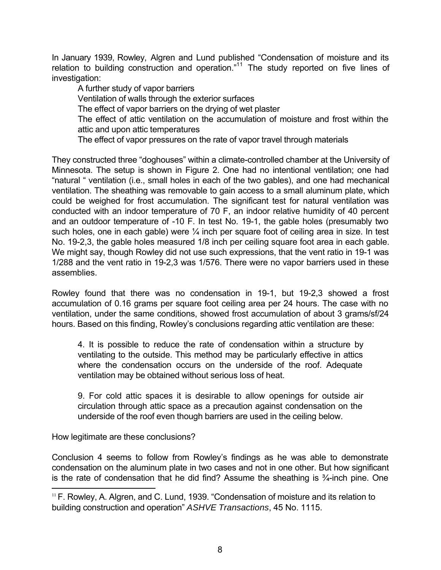In January 1939, Rowley, Algren and Lund published "Condensation of moisture and its relation to building construction and operation."<sup>11</sup> The study reported on five lines of investigation:

A further study of vapor barriers Ventilation of walls through the exterior surfaces The effect of vapor barriers on the drying of wet plaster The effect of attic ventilation on the accumulation of moisture and frost within the attic and upon attic temperatures The effect of vapor pressures on the rate of vapor travel through materials

They constructed three "doghouses" within a climate-controlled chamber at the University of Minnesota. The setup is shown in Figure 2. One had no intentional ventilation; one had "natural " ventilation (i.e., small holes in each of the two gables), and one had mechanical ventilation. The sheathing was removable to gain access to a small aluminum plate, which could be weighed for frost accumulation. The significant test for natural ventilation was conducted with an indoor temperature of 70 F, an indoor relative humidity of 40 percent and an outdoor temperature of -10 F. In test No. 19-1, the gable holes (presumably two such holes, one in each gable) were ¼ inch per square foot of ceiling area in size. In test No. 19-2,3, the gable holes measured 1/8 inch per ceiling square foot area in each gable. We might say, though Rowley did not use such expressions, that the vent ratio in 19-1 was 1/288 and the vent ratio in 19-2,3 was 1/576. There were no vapor barriers used in these assemblies.

Rowley found that there was no condensation in 19-1, but 19-2,3 showed a frost accumulation of 0.16 grams per square foot ceiling area per 24 hours. The case with no ventilation, under the same conditions, showed frost accumulation of about 3 grams/sf/24 hours. Based on this finding, Rowley's conclusions regarding attic ventilation are these:

4. It is possible to reduce the rate of condensation within a structure by ventilating to the outside. This method may be particularly effective in attics where the condensation occurs on the underside of the roof. Adequate ventilation may be obtained without serious loss of heat.

9. For cold attic spaces it is desirable to allow openings for outside air circulation through attic space as a precaution against condensation on the underside of the roof even though barriers are used in the ceiling below.

How legitimate are these conclusions?

l

Conclusion 4 seems to follow from Rowley's findings as he was able to demonstrate condensation on the aluminum plate in two cases and not in one other. But how significant is the rate of condensation that he did find? Assume the sheathing is ¾-inch pine. One

<sup>&</sup>lt;sup>11</sup> F. Rowley, A. Algren, and C. Lund, 1939. "Condensation of moisture and its relation to building construction and operation" *ASHVE Transactions*, 45 No. 1115.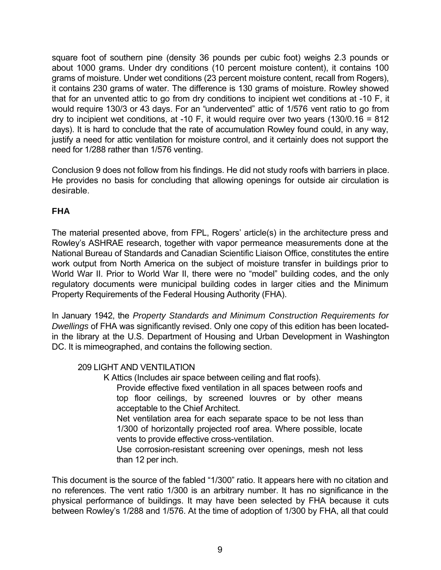square foot of southern pine (density 36 pounds per cubic foot) weighs 2.3 pounds or about 1000 grams. Under dry conditions (10 percent moisture content), it contains 100 grams of moisture. Under wet conditions (23 percent moisture content, recall from Rogers), it contains 230 grams of water. The difference is 130 grams of moisture. Rowley showed that for an unvented attic to go from dry conditions to incipient wet conditions at -10 F, it would require 130/3 or 43 days. For an "undervented" attic of 1/576 vent ratio to go from dry to incipient wet conditions, at -10 F, it would require over two years (130/0.16 = 812 days). It is hard to conclude that the rate of accumulation Rowley found could, in any way, justify a need for attic ventilation for moisture control, and it certainly does not support the need for 1/288 rather than 1/576 venting.

Conclusion 9 does not follow from his findings. He did not study roofs with barriers in place. He provides no basis for concluding that allowing openings for outside air circulation is desirable.

# **FHA**

The material presented above, from FPL, Rogers' article(s) in the architecture press and Rowley's ASHRAE research, together with vapor permeance measurements done at the National Bureau of Standards and Canadian Scientific Liaison Office, constitutes the entire work output from North America on the subject of moisture transfer in buildings prior to World War II. Prior to World War II, there were no "model" building codes, and the only regulatory documents were municipal building codes in larger cities and the Minimum Property Requirements of the Federal Housing Authority (FHA).

In January 1942, the *Property Standards and Minimum Construction Requirements for Dwellings* of FHA was significantly revised. Only one copy of this edition has been locatedin the library at the U.S. Department of Housing and Urban Development in Washington DC. It is mimeographed, and contains the following section.

#### 209 LIGHT AND VENTILATION

K Attics (Includes air space between ceiling and flat roofs).

Provide effective fixed ventilation in all spaces between roofs and top floor ceilings, by screened louvres or by other means acceptable to the Chief Architect.

Net ventilation area for each separate space to be not less than 1/300 of horizontally projected roof area. Where possible, locate vents to provide effective cross-ventilation.

Use corrosion-resistant screening over openings, mesh not less than 12 per inch.

This document is the source of the fabled "1/300" ratio. It appears here with no citation and no references. The vent ratio 1/300 is an arbitrary number. It has no significance in the physical performance of buildings. It may have been selected by FHA because it cuts between Rowley's 1/288 and 1/576. At the time of adoption of 1/300 by FHA, all that could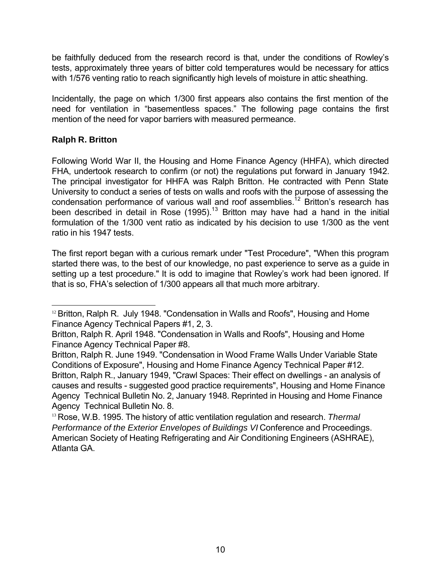be faithfully deduced from the research record is that, under the conditions of Rowley's tests, approximately three years of bitter cold temperatures would be necessary for attics with 1/576 venting ratio to reach significantly high levels of moisture in attic sheathing.

Incidentally, the page on which 1/300 first appears also contains the first mention of the need for ventilation in "basementless spaces." The following page contains the first mention of the need for vapor barriers with measured permeance.

# **Ralph R. Britton**

l

Following World War II, the Housing and Home Finance Agency (HHFA), which directed FHA, undertook research to confirm (or not) the regulations put forward in January 1942. The principal investigator for HHFA was Ralph Britton. He contracted with Penn State University to conduct a series of tests on walls and roofs with the purpose of assessing the condensation performance of various wall and roof assemblies.<sup>12</sup> Britton's research has been described in detail in Rose (1995).<sup>13</sup> Britton may have had a hand in the initial formulation of the 1/300 vent ratio as indicated by his decision to use 1/300 as the vent ratio in his 1947 tests.

The first report began with a curious remark under "Test Procedure", "When this program started there was, to the best of our knowledge, no past experience to serve as a guide in setting up a test procedure." It is odd to imagine that Rowley's work had been ignored. If that is so, FHA's selection of 1/300 appears all that much more arbitrary.

<sup>&</sup>lt;sup>12</sup> Britton, Ralph R. July 1948. "Condensation in Walls and Roofs", Housing and Home Finance Agency Technical Papers #1, 2, 3.

Britton, Ralph R. April 1948. "Condensation in Walls and Roofs", Housing and Home Finance Agency Technical Paper #8.

Britton, Ralph R. June 1949. "Condensation in Wood Frame Walls Under Variable State Conditions of Exposure", Housing and Home Finance Agency Technical Paper #12. Britton, Ralph R., January 1949, "Crawl Spaces: Their effect on dwellings - an analysis of causes and results - suggested good practice requirements", Housing and Home Finance Agency Technical Bulletin No. 2, January 1948. Reprinted in Housing and Home Finance Agency Technical Bulletin No. 8.

<sup>13</sup> Rose, W.B. 1995. The history of attic ventilation regulation and research. *Thermal Performance of the Exterior Envelopes of Buildings VI* Conference and Proceedings. American Society of Heating Refrigerating and Air Conditioning Engineers (ASHRAE), Atlanta GA.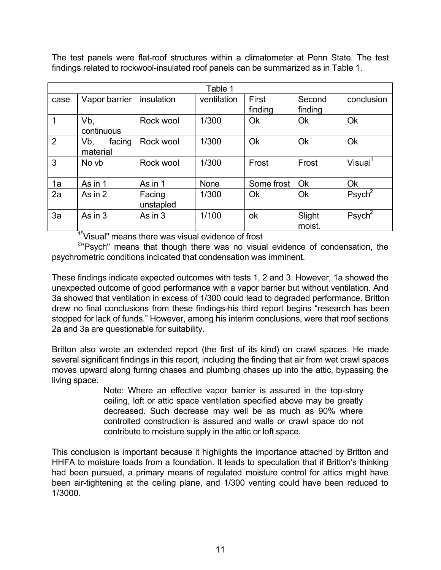The test panels were flat-roof structures within a climatometer at Penn State. The test findings related to rockwool-insulated roof panels can be summarized as in Table 1.

| Table 1 |                           |                     |             |                  |                   |                       |
|---------|---------------------------|---------------------|-------------|------------------|-------------------|-----------------------|
| case    | Vapor barrier             | insulation          | ventilation | First<br>finding | Second<br>finding | conclusion            |
| 1       | Vb,<br>continuous         | Rock wool           | 1/300       | Ok               | <b>Ok</b>         | Ok                    |
| 2       | Vb,<br>facing<br>material | Rock wool           | 1/300       | Ok               | Ok                | Ok                    |
| 3       | No vb                     | Rock wool           | 1/300       | Frost            | Frost             | Visual <sup>1</sup>   |
| 1a      | As in 1                   | As in 1             | <b>None</b> | Some frost       | Ok                | Ok                    |
| 2a      | As in 2                   | Facing<br>unstapled | 1/300       | <b>Ok</b>        | Ok                | $P$ sych <sup>2</sup> |
| 3a      | As in 3                   | As in $3$           | 1/100       | ok               | Slight<br>moist.  | $P$ sych <sup>2</sup> |

<sup>1"</sup>Visual" means there was visual evidence of frost

<sup>2</sup>"Psych" means that though there was no visual evidence of condensation, the psychrometric conditions indicated that condensation was imminent.

These findings indicate expected outcomes with tests 1, 2 and 3. However, 1a showed the unexpected outcome of good performance with a vapor barrier but without ventilation. And 3a showed that ventilation in excess of 1/300 could lead to degraded performance. Britton drew no final conclusions from these findings-his third report begins "research has been stopped for lack of funds." However, among his interim conclusions, were that roof sections 2a and 3a are questionable for suitability.

Britton also wrote an extended report (the first of its kind) on crawl spaces. He made several significant findings in this report, including the finding that air from wet crawl spaces moves upward along furring chases and plumbing chases up into the attic, bypassing the living space.

> Note: Where an effective vapor barrier is assured in the top-story ceiling, loft or attic space ventilation specified above may be greatly decreased. Such decrease may well be as much as 90% where controlled construction is assured and walls or crawl space do not contribute to moisture supply in the attic or loft space.

This conclusion is important because it highlights the importance attached by Britton and HHFA to moisture loads from a foundation. It leads to speculation that if Britton's thinking had been pursued, a primary means of regulated moisture control for attics might have been air-tightening at the ceiling plane, and 1/300 venting could have been reduced to 1/3000.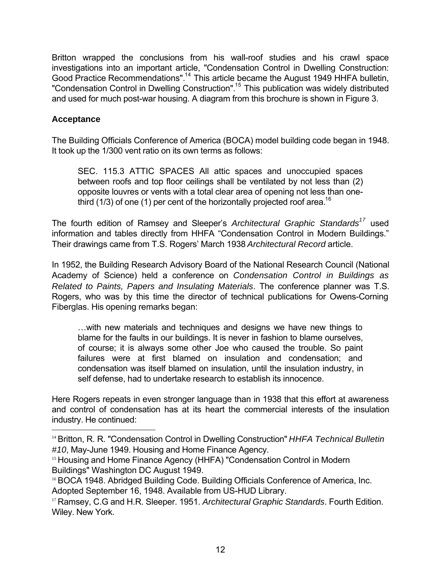Britton wrapped the conclusions from his wall-roof studies and his crawl space investigations into an important article, "Condensation Control in Dwelling Construction: Good Practice Recommendations".<sup>14</sup> This article became the August 1949 HHFA bulletin, "Condensation Control in Dwelling Construction".<sup>15</sup> This publication was widely distributed and used for much post-war housing. A diagram from this brochure is shown in Figure 3.

### **Acceptance**

l

The Building Officials Conference of America (BOCA) model building code began in 1948. It took up the 1/300 vent ratio on its own terms as follows:

SEC. 115.3 ATTIC SPACES All attic spaces and unoccupied spaces between roofs and top floor ceilings shall be ventilated by not less than (2) opposite louvres or vents with a total clear area of opening not less than onethird (1/3) of one (1) per cent of the horizontally projected roof area.<sup>16</sup>

The fourth edition of Ramsey and Sleeper's *Architectural Graphic Standards<sup>17</sup>* used information and tables directly from HHFA "Condensation Control in Modern Buildings." Their drawings came from T.S. Rogers' March 1938 *Architectural Record* article.

In 1952, the Building Research Advisory Board of the National Research Council (National Academy of Science) held a conference on *Condensation Control in Buildings as Related to Paints, Papers and Insulating Materials*. The conference planner was T.S. Rogers, who was by this time the director of technical publications for Owens-Corning Fiberglas. His opening remarks began:

…with new materials and techniques and designs we have new things to blame for the faults in our buildings. It is never in fashion to blame ourselves, of course; it is always some other Joe who caused the trouble. So paint failures were at first blamed on insulation and condensation; and condensation was itself blamed on insulation, until the insulation industry, in self defense, had to undertake research to establish its innocence.

Here Rogers repeats in even stronger language than in 1938 that this effort at awareness and control of condensation has at its heart the commercial interests of the insulation industry. He continued:

<sup>14</sup> Britton, R. R. "Condensation Control in Dwelling Construction" *HHFA Technical Bulletin #10*, May-June 1949. Housing and Home Finance Agency.

<sup>&</sup>lt;sup>15</sup> Housing and Home Finance Agency (HHFA) "Condensation Control in Modern Buildings" Washington DC August 1949.

<sup>16</sup> BOCA 1948. Abridged Building Code. Building Officials Conference of America, Inc. Adopted September 16, 1948. Available from US-HUD Library.

<sup>17</sup> Ramsey, C.G and H.R. Sleeper. 1951. *Architectural Graphic Standards*. Fourth Edition. Wiley. New York.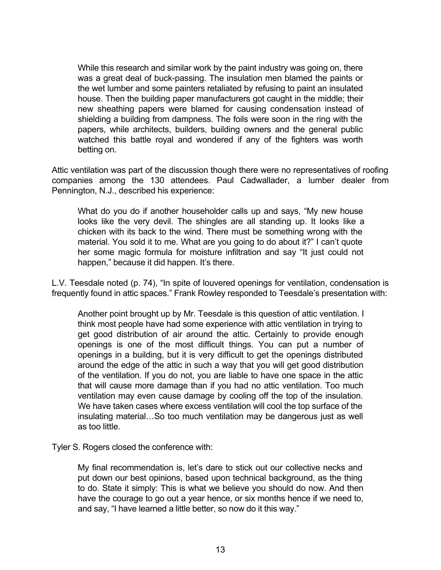While this research and similar work by the paint industry was going on, there was a great deal of buck-passing. The insulation men blamed the paints or the wet lumber and some painters retaliated by refusing to paint an insulated house. Then the building paper manufacturers got caught in the middle; their new sheathing papers were blamed for causing condensation instead of shielding a building from dampness. The foils were soon in the ring with the papers, while architects, builders, building owners and the general public watched this battle royal and wondered if any of the fighters was worth betting on.

Attic ventilation was part of the discussion though there were no representatives of roofing companies among the 130 attendees. Paul Cadwallader, a lumber dealer from Pennington, N.J., described his experience:

What do you do if another householder calls up and says, "My new house looks like the very devil. The shingles are all standing up. It looks like a chicken with its back to the wind. There must be something wrong with the material. You sold it to me. What are you going to do about it?" I can't quote her some magic formula for moisture infiltration and say "It just could not happen," because it did happen. It's there.

L.V. Teesdale noted (p. 74), "In spite of louvered openings for ventilation, condensation is frequently found in attic spaces." Frank Rowley responded to Teesdale's presentation with:

Another point brought up by Mr. Teesdale is this question of attic ventilation. I think most people have had some experience with attic ventilation in trying to get good distribution of air around the attic. Certainly to provide enough openings is one of the most difficult things. You can put a number of openings in a building, but it is very difficult to get the openings distributed around the edge of the attic in such a way that you will get good distribution of the ventilation. If you do not, you are liable to have one space in the attic that will cause more damage than if you had no attic ventilation. Too much ventilation may even cause damage by cooling off the top of the insulation. We have taken cases where excess ventilation will cool the top surface of the insulating material…So too much ventilation may be dangerous just as well as too little.

Tyler S. Rogers closed the conference with:

My final recommendation is, let's dare to stick out our collective necks and put down our best opinions, based upon technical background, as the thing to do. State it simply: This is what we believe you should do now. And then have the courage to go out a year hence, or six months hence if we need to, and say, "I have learned a little better, so now do it this way."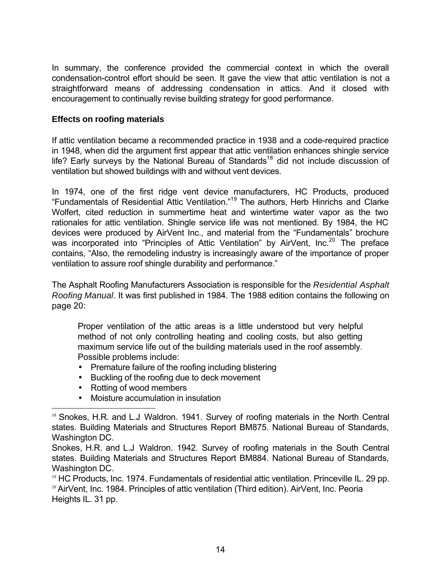In summary, the conference provided the commercial context in which the overall condensation-control effort should be seen. It gave the view that attic ventilation is not a straightforward means of addressing condensation in attics. And it closed with encouragement to continually revise building strategy for good performance.

### **Effects on roofing materials**

If attic ventilation became a recommended practice in 1938 and a code-required practice in 1948, when did the argument first appear that attic ventilation enhances shingle service life? Early surveys by the National Bureau of Standards<sup>18</sup> did not include discussion of ventilation but showed buildings with and without vent devices.

In 1974, one of the first ridge vent device manufacturers, HC Products, produced "Fundamentals of Residential Attic Ventilation."<sup>19</sup> The authors, Herb Hinrichs and Clarke Wolfert, cited reduction in summertime heat and wintertime water vapor as the two rationales for attic ventilation. Shingle service life was not mentioned. By 1984, the HC devices were produced by AirVent Inc., and material from the "Fundamentals" brochure was incorporated into "Principles of Attic Ventilation" by AirVent, Inc.<sup>20</sup> The preface contains, "Also, the remodeling industry is increasingly aware of the importance of proper ventilation to assure roof shingle durability and performance."

The Asphalt Roofing Manufacturers Association is responsible for the *Residential Asphalt Roofing Manual*. It was first published in 1984. The 1988 edition contains the following on page 20:

Proper ventilation of the attic areas is a little understood but very helpful method of not only controlling heating and cooling costs, but also getting maximum service life out of the building materials used in the roof assembly. Possible problems include:

- Premature failure of the roofing including blistering
- Buckling of the roofing due to deck movement
- Rotting of wood members

l

• Moisture accumulation in insulation

<sup>&</sup>lt;sup>18</sup> Snokes, H.R. and L.J Waldron. 1941. Survey of roofing materials in the North Central states. Building Materials and Structures Report BM875. National Bureau of Standards, Washington DC.

Snokes, H.R. and L.J Waldron. 1942. Survey of roofing materials in the South Central states. Building Materials and Structures Report BM884. National Bureau of Standards, Washington DC.

<sup>19</sup> HC Products, Inc. 1974. Fundamentals of residential attic ventilation. Princeville IL. 29 pp. <sup>20</sup> AirVent, Inc. 1984. Principles of attic ventilation (Third edition). AirVent, Inc. Peoria Heights IL. 31 pp.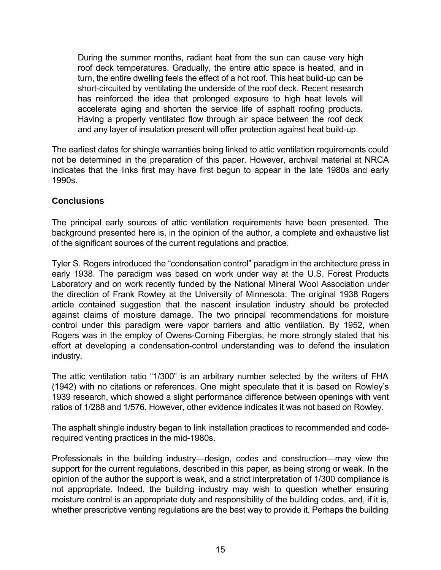During the summer months, radiant heat from the sun can cause very high roof deck temperatures. Gradually, the entire attic space is heated, and in turn, the entire dwelling feels the effect of a hot roof. This heat build-up can be short-circuited by ventilating the underside of the roof deck. Recent research has reinforced the idea that prolonged exposure to high heat levels will accelerate aging and shorten the service life of asphalt roofing products. Having a properly ventilated flow through air space between the roof deck and any layer of insulation present will offer protection against heat build-up.

The earliest dates for shingle warranties being linked to attic ventilation requirements could not be determined in the preparation of this paper. However, archival material at NRCA indicates that the links first may have first begun to appear in the late 1980s and early 1990s.

### **Conclusions**

The principal early sources of attic ventilation requirements have been presented. The background presented here is, in the opinion of the author, a complete and exhaustive list of the significant sources of the current regulations and practice.

Tyler S. Rogers introduced the "condensation control" paradigm in the architecture press in early 1938. The paradigm was based on work under way at the U.S. Forest Products Laboratory and on work recently funded by the National Mineral Wool Association under the direction of Frank Rowley at the University of Minnesota. The original 1938 Rogers article contained suggestion that the nascent insulation industry should be protected against claims of moisture damage. The two principal recommendations for moisture control under this paradigm were vapor barriers and attic ventilation. By 1952, when Rogers was in the employ of Owens-Corning Fiberglas, he more strongly stated that his effort at developing a condensation-control understanding was to defend the insulation industry.

The attic ventilation ratio "1/300" is an arbitrary number selected by the writers of FHA (1942) with no citations or references. One might speculate that it is based on Rowley's 1939 research, which showed a slight performance difference between openings with vent ratios of 1/288 and 1/576. However, other evidence indicates it was not based on Rowley.

The asphalt shingle industry began to link installation practices to recommended and coderequired venting practices in the mid-1980s.

Professionals in the building industry—design, codes and construction—may view the support for the current regulations, described in this paper, as being strong or weak. In the opinion of the author the support is weak, and a strict interpretation of 1/300 compliance is not appropriate. Indeed, the building industry may wish to question whether ensuring moisture control is an appropriate duty and responsibility of the building codes, and, if it is, whether prescriptive venting regulations are the best way to provide it. Perhaps the building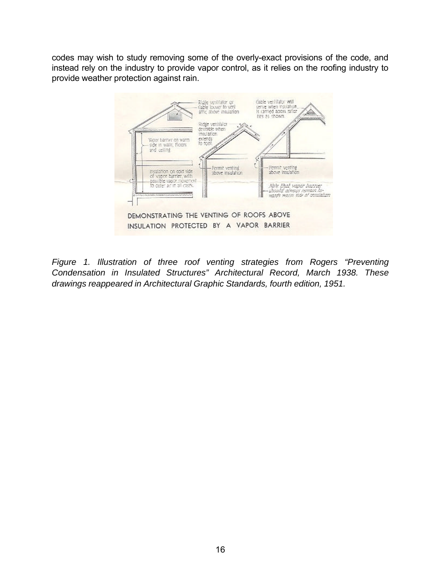codes may wish to study removing some of the overly-exact provisions of the code, and instead rely on the industry to provide vapor control, as it relies on the roofing industry to provide weather protection against rain.



*Figure 1. Illustration of three roof venting strategies from Rogers "Preventing Condensation in Insulated Structures" Architectural Record, March 1938. These drawings reappeared in Architectural Graphic Standards, fourth edition, 1951.*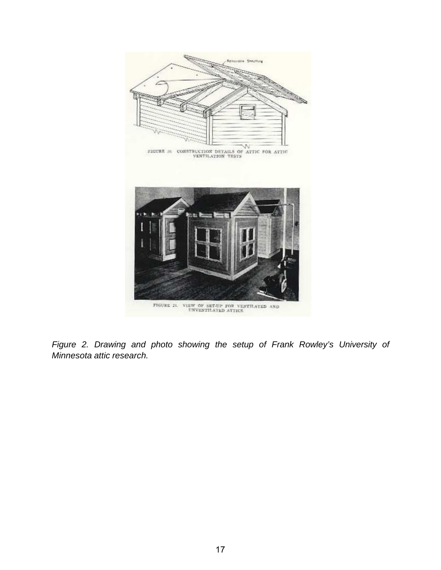

*Figure 2. Drawing and photo showing the setup of Frank Rowley's University of Minnesota attic research.*